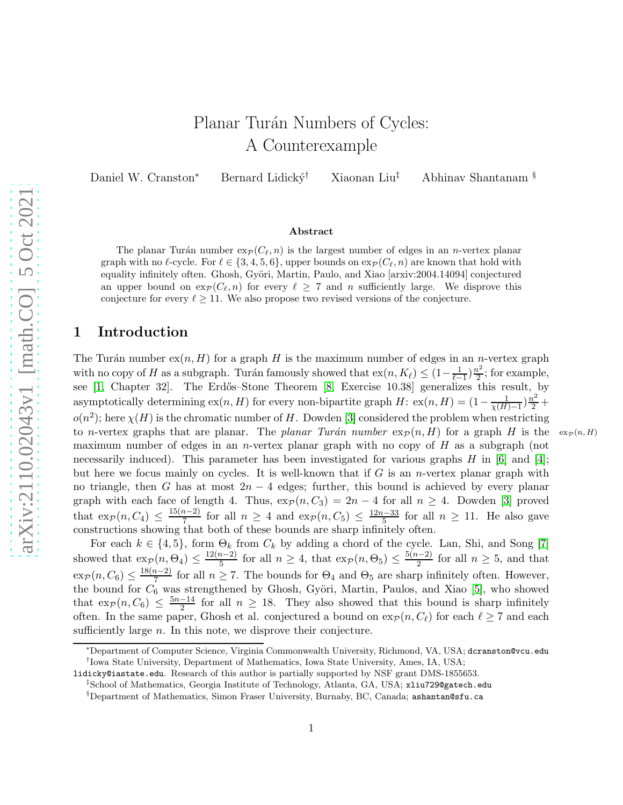# Planar Turán Numbers of Cycles: A Counterexample

Daniel W. Cranston<sup>∗</sup> Bernard Lidický<sup>†</sup> Xiaonan Liu‡ Abhinav Shantanam §

#### Abstract

The planar Turán number  $\exp(C_{\ell}, n)$  is the largest number of edges in an *n*-vertex planar graph with no  $\ell$ -cycle. For  $\ell \in \{3, 4, 5, 6\}$ , upper bounds on  $\exp(C_{\ell}, n)$  are known that hold with equality infinitely often. Ghosh, Györi, Martin, Paulo, and Xiao [arxiv:2004.14094] conjectured an upper bound on  $\exp(C_{\ell}, n)$  for every  $\ell > 7$  and n sufficiently large. We disprove this conjecture for every  $\ell \geq 11$ . We also propose two revised versions of the conjecture.

# 1 Introduction

The Turán number  $ex(n, H)$  for a graph H is the maximum number of edges in an n-vertex graph with no copy of H as a subgraph. Turán famously showed that  $ex(n, K_{\ell}) \leq (1 - \frac{1}{\ell-1})\frac{n^2}{2}$  $\frac{v^2}{2}$ ; for example, see [\[1,](#page-8-0) Chapter 32]. The Erdős–Stone Theorem [\[8,](#page-8-1) Exercise 10.38] generalizes this result, by asymptotically determining  $ex(n, H)$  for every non-bipartite graph  $H: ex(n, H) = (1 - \frac{1}{\chi(H) - 1})\frac{n^2}{2} +$  $o(n^2)$ ; here  $\chi(H)$  is the chromatic number of H. Dowden [\[3\]](#page-8-2) considered the problem when restricting to n-vertex graphs that are planar. The planar Turán number  $\exp(n, H)$  for a graph H is the  $\exp(n, H)$ maximum number of edges in an *n*-vertex planar graph with no copy of  $H$  as a subgraph (not necessarily induced). This parameter has been investigated for various graphs  $H$  in [\[6\]](#page-8-3) and [\[4\]](#page-8-4); but here we focus mainly on cycles. It is well-known that if  $G$  is an *n*-vertex planar graph with no triangle, then G has at most  $2n-4$  edges; further, this bound is achieved by every planar graph with each face of length 4. Thus,  $\exp(n, C_3) = 2n - 4$  for all  $n \geq 4$ . Dowden [\[3\]](#page-8-2) proved that  $\exp(n, C_4) \leq \frac{15(n-2)}{7}$  $\frac{n-2}{7}$  for all  $n \geq 4$  and  $\exp(n, C_5) \leq \frac{12n-33}{5}$  $\frac{k-33}{5}$  for all  $n \ge 11$ . He also gave constructions showing that both of these bounds are sharp infinitely often.

For each  $k \in \{4, 5\}$ , form  $\Theta_k$  from  $C_k$  by adding a chord of the cycle. Lan, Shi, and Song [\[7\]](#page-8-5) showed that  $\exp(n, \Theta_4) \leq \frac{12(n-2)}{5}$  $\frac{n-2}{5}$  for all  $n \geq 4$ , that  $\exp(n, \Theta_5) \leq \frac{5(n-2)}{2}$  $\frac{n-2}{2}$  for all  $n \geq 5$ , and that  $\exp(n, C_6) \leq \frac{18(n-2)}{7}$  $\frac{n-2}{7}$  for all  $n \ge 7$ . The bounds for  $\Theta_4$  and  $\Theta_5$  are sharp infinitely often. However, the bound for  $C_6$  was strengthened by Ghosh, Györi, Martin, Paulos, and Xiao [\[5\]](#page-8-6), who showed that  $\exp(n, C_6) \leq \frac{5n-14}{2}$  $\frac{-14}{2}$  for all  $n \geq 18$ . They also showed that this bound is sharp infinitely often. In the same paper, Ghosh et al. conjectured a bound on  $\exp(n, C_\ell)$  for each  $\ell \geq 7$  and each sufficiently large *n*. In this note, we disprove their conjecture.

<sup>∗</sup>Department of Computer Science, Virginia Commonwealth University, Richmond, VA, USA; dcranston@vcu.edu † Iowa State University, Department of Mathematics, Iowa State University, Ames, IA, USA;

lidicky@iastate.edu. Research of this author is partially supported by NSF grant DMS-1855653.

<sup>‡</sup>School of Mathematics, Georgia Institute of Technology, Atlanta, GA, USA; xliu729@gatech.edu

<sup>§</sup>Department of Mathematics, Simon Fraser University, Burnaby, BC, Canada; ashantan@sfu.ca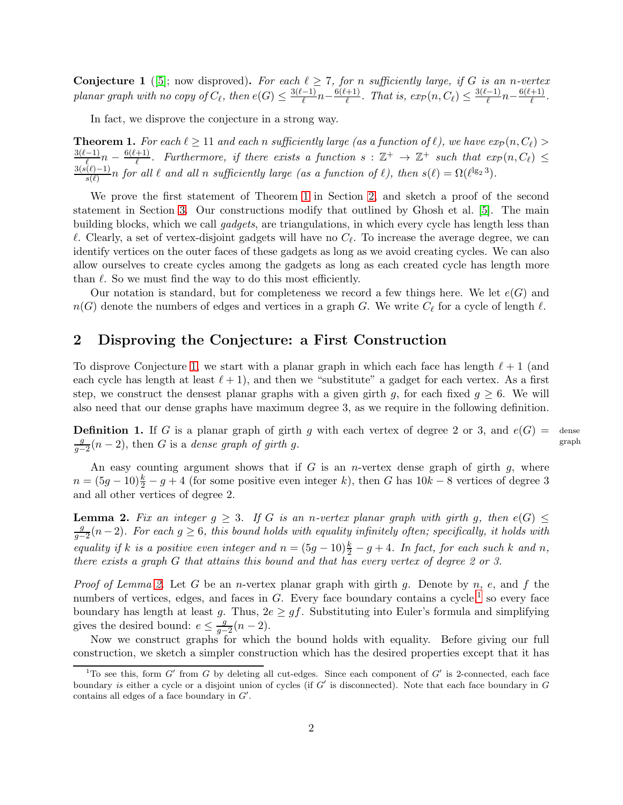<span id="page-1-2"></span>**Conjecture 1** ([\[5\]](#page-8-6); now disproved). For each  $\ell \geq 7$ , for n sufficiently large, if G is an n-vertex planar graph with no copy of  $C_{\ell}$ , then  $e(G) \leq \frac{3(\ell-1)}{\ell}$  $\frac{(-1)}{\ell}n-\frac{6(\ell+1)}{\ell}$  $\frac{(-1)^{n+1}}{\ell}$ . That is,  $exp(n, C_{\ell}) \leq \frac{3(\ell-1)}{\ell}$  $\frac{(n-1)}{\ell}n-\frac{6(\ell+1)}{\ell}$  $\frac{1}{\ell}$ .

In fact, we disprove the conjecture in a strong way.

<span id="page-1-0"></span>**Theorem 1.** For each  $\ell \geq 11$  and each n sufficiently large (as a function of  $\ell$ ), we have  $exp(n, C_{\ell})$  $3(\ell-1)$  $\frac{(-1)}{\ell}n-\frac{6(\ell+1)}{\ell}$  $\frac{(+1)}{\ell}$ . Furthermore, if there exists a function  $s : \mathbb{Z}^+ \to \mathbb{Z}^+$  such that  $exp(n, C_{\ell}) \leq$  $3(s(\ell)-1)$  $\frac{(\ell)-1}{s(\ell)}n$  for all  $\ell$  and all n sufficiently large (as a function of  $\ell$ ), then  $s(\ell)=\Omega(\ell^{\lg_2 3})$ .

We prove the first statement of Theorem [1](#page-1-0) in Section [2,](#page-1-1) and sketch a proof of the second statement in Section [3.](#page-7-0) Our constructions modify that outlined by Ghosh et al. [\[5\]](#page-8-6). The main building blocks, which we call gadgets, are triangulations, in which every cycle has length less than  $\ell$ . Clearly, a set of vertex-disjoint gadgets will have no  $C_{\ell}$ . To increase the average degree, we can identify vertices on the outer faces of these gadgets as long as we avoid creating cycles. We can also allow ourselves to create cycles among the gadgets as long as each created cycle has length more than  $\ell$ . So we must find the way to do this most efficiently.

Our notation is standard, but for completeness we record a few things here. We let  $e(G)$  and  $n(G)$  denote the numbers of edges and vertices in a graph G. We write  $C_{\ell}$  for a cycle of length  $\ell$ .

#### <span id="page-1-1"></span>2 Disproving the Conjecture: a First Construction

To disprove Conjecture [1,](#page-1-2) we start with a planar graph in which each face has length  $\ell+1$  (and each cycle has length at least  $\ell + 1$ , and then we "substitute" a gadget for each vertex. As a first step, we construct the densest planar graphs with a given girth g, for each fixed  $q \geq 6$ . We will also need that our dense graphs have maximum degree 3, as we require in the following definition.

**Definition 1.** If G is a planar graph of girth g with each vertex of degree 2 or 3, and  $e(G)$  =  $\frac{g}{g-2}(n-2)$ , then G is a dense graph of girth g. dense graph

An easy counting argument shows that if  $G$  is an *n*-vertex dense graph of girth  $g$ , where  $n = (5g - 10)\frac{k}{2} - g + 4$  (for some positive even integer k), then G has  $10k - 8$  vertices of degree 3 and all other vertices of degree 2.

<span id="page-1-3"></span>**Lemma 2.** Fix an integer  $g \geq 3$ . If G is an n-vertex planar graph with girth g, then  $e(G) \leq$  $\frac{g}{g-2}(n-2)$ . For each  $g \geq 6$ , this bound holds with equality infinitely often; specifically, it holds with equality if k is a positive even integer and  $n = (5g - 10)\frac{k}{2} - g + 4$ . In fact, for each such k and n, there exists a graph G that attains this bound and that has every vertex of degree 2 or 3.

*Proof of Lemma [2.](#page-1-3)* Let G be an *n*-vertex planar graph with girth g. Denote by n, e, and f the numbers of vertices, edges, and faces in  $G$ . Every face boundary contains a cycle,<sup>[1](#page-1-4)</sup> so every face boundary has length at least g. Thus,  $2e \geq gf$ . Substituting into Euler's formula and simplifying gives the desired bound:  $e \leq \frac{g}{g-2}(n-2)$ .

Now we construct graphs for which the bound holds with equality. Before giving our full construction, we sketch a simpler construction which has the desired properties except that it has

<span id="page-1-4"></span><sup>&</sup>lt;sup>1</sup>To see this, form  $G'$  from  $G$  by deleting all cut-edges. Since each component of  $G'$  is 2-connected, each face boundary is either a cycle or a disjoint union of cycles (if  $G'$  is disconnected). Note that each face boundary in  $G$ contains all edges of a face boundary in  $G'$ .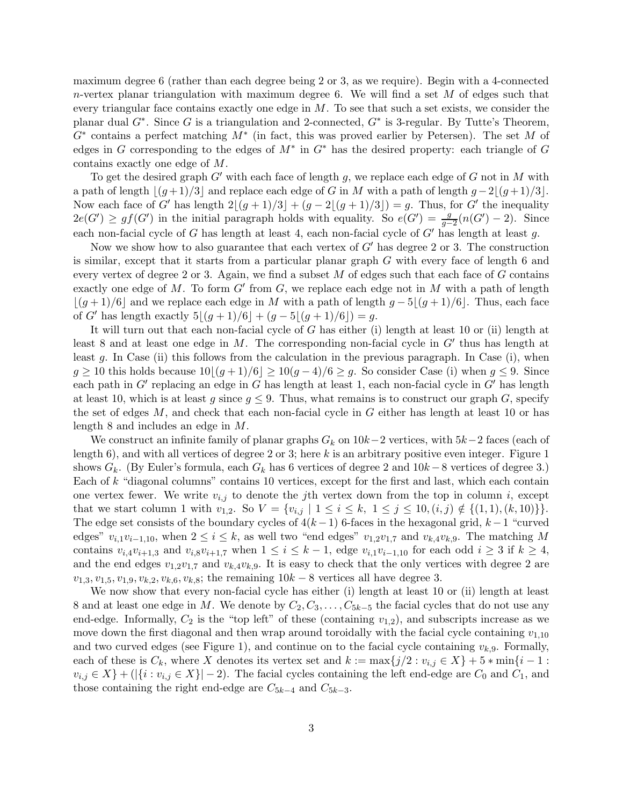maximum degree 6 (rather than each degree being 2 or 3, as we require). Begin with a 4-connected  $n$ -vertex planar triangulation with maximum degree 6. We will find a set  $M$  of edges such that every triangular face contains exactly one edge in  $M$ . To see that such a set exists, we consider the planar dual  $G^*$ . Since G is a triangulation and 2-connected,  $G^*$  is 3-regular. By Tutte's Theorem,  $G^*$  contains a perfect matching  $M^*$  (in fact, this was proved earlier by Petersen). The set M of edges in G corresponding to the edges of  $M^*$  in  $G^*$  has the desired property: each triangle of G contains exactly one edge of M.

To get the desired graph  $G'$  with each face of length g, we replace each edge of G not in M with a path of length  $|(g+1)/3|$  and replace each edge of G in M with a path of length  $g-2|(g+1)/3|$ . Now each face of G' has length  $2|(g+1)/3| + (g-2|(g+1)/3|) = g$ . Thus, for G' the inequality  $2e(G') \ge gf(G')$  in the initial paragraph holds with equality. So  $e(G') = \frac{g}{g-2}(n(G')-2)$ . Since each non-facial cycle of G has length at least 4, each non-facial cycle of  $G'$  has length at least g.

Now we show how to also guarantee that each vertex of  $G'$  has degree 2 or 3. The construction is similar, except that it starts from a particular planar graph G with every face of length 6 and every vertex of degree 2 or 3. Again, we find a subset  $M$  of edges such that each face of  $G$  contains exactly one edge of M. To form  $G'$  from  $G$ , we replace each edge not in M with a path of length  $|(g+1)/6|$  and we replace each edge in M with a path of length  $g-5|(g+1)/6|$ . Thus, each face of G' has length exactly  $5|(g+1)/6| + (g-5|(g+1)/6|) = g$ .

It will turn out that each non-facial cycle of G has either (i) length at least 10 or (ii) length at least 8 and at least one edge in M. The corresponding non-facial cycle in  $G'$  thus has length at least g. In Case (ii) this follows from the calculation in the previous paragraph. In Case (i), when  $g \ge 10$  this holds because  $10|(g+1)/6| \ge 10(g-4)/6 \ge g$ . So consider Case (i) when  $g \le 9$ . Since each path in G' replacing an edge in G has length at least 1, each non-facial cycle in G' has length at least 10, which is at least g since  $g \leq 9$ . Thus, what remains is to construct our graph G, specify the set of edges  $M$ , and check that each non-facial cycle in  $G$  either has length at least 10 or has length 8 and includes an edge in M.

We construct an infinite family of planar graphs  $G_k$  on  $10k-2$  vertices, with  $5k-2$  faces (each of length 6), and with all vertices of degree 2 or 3; here k is an arbitrary positive even integer. Figure 1 shows  $G_k$ . (By Euler's formula, each  $G_k$  has 6 vertices of degree 2 and  $10k - 8$  vertices of degree 3.) Each of k "diagonal columns" contains 10 vertices, except for the first and last, which each contain one vertex fewer. We write  $v_{i,j}$  to denote the jth vertex down from the top in column i, except that we start column 1 with  $v_{1,2}$ . So  $V = \{v_{i,j} \mid 1 \le i \le k, 1 \le j \le 10, (i,j) \notin \{(1,1), (k,10)\}\}.$ The edge set consists of the boundary cycles of  $4(k-1)$  6-faces in the hexagonal grid,  $k-1$  "curved" edges"  $v_{i,1}v_{i-1,10}$ , when  $2 \le i \le k$ , as well two "end edges"  $v_{1,2}v_{1,7}$  and  $v_{k,4}v_{k,9}$ . The matching M contains  $v_{i,4}v_{i+1,3}$  and  $v_{i,8}v_{i+1,7}$  when  $1 \leq i \leq k-1$ , edge  $v_{i,1}v_{i-1,10}$  for each odd  $i \geq 3$  if  $k \geq 4$ , and the end edges  $v_{1,2}v_{1,7}$  and  $v_{k,4}v_{k,9}$ . It is easy to check that the only vertices with degree 2 are  $v_{1,3}, v_{1,5}, v_{1,9}, v_{k,2}, v_{k,6}, v_{k,8}$ ; the remaining  $10k - 8$  vertices all have degree 3.

We now show that every non-facial cycle has either (i) length at least 10 or (ii) length at least 8 and at least one edge in M. We denote by  $C_2, C_3, \ldots, C_{5k-5}$  the facial cycles that do not use any end-edge. Informally,  $C_2$  is the "top left" of these (containing  $v_{1,2}$ ), and subscripts increase as we move down the first diagonal and then wrap around toroidally with the facial cycle containing  $v_{1,10}$ and two curved edges (see Figure 1), and continue on to the facial cycle containing  $v_{k,9}$ . Formally, each of these is  $C_k$ , where X denotes its vertex set and  $k := \max\{j/2 : v_{i,j} \in X\} + 5 * \min\{i-1 :$  $v_{i,j} \in X$  + ( $|\{i : v_{i,j} \in X\}|-2$ ). The facial cycles containing the left end-edge are  $C_0$  and  $C_1$ , and those containing the right end-edge are  $C_{5k-4}$  and  $C_{5k-3}$ .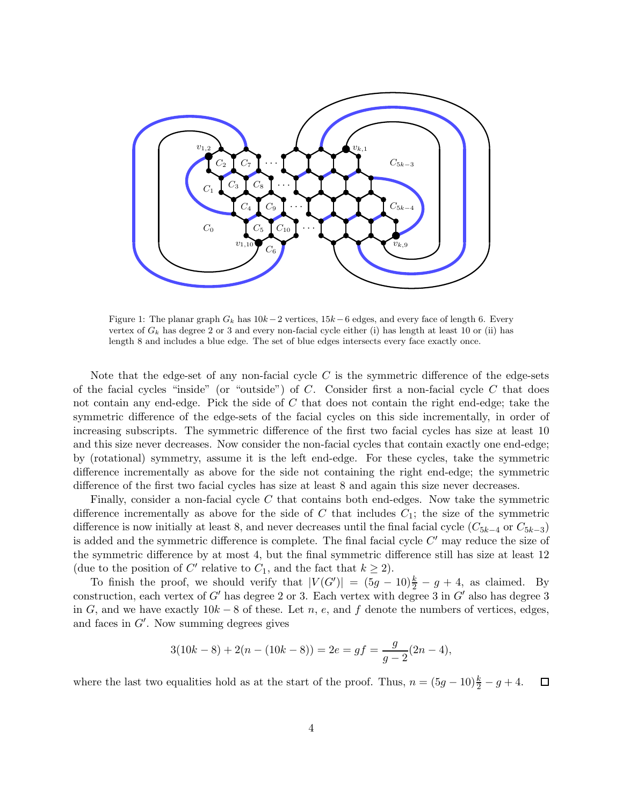

Figure 1: The planar graph  $G_k$  has  $10k-2$  vertices,  $15k-6$  edges, and every face of length 6. Every vertex of  $G_k$  has degree 2 or 3 and every non-facial cycle either (i) has length at least 10 or (ii) has length 8 and includes a blue edge. The set of blue edges intersects every face exactly once.

Note that the edge-set of any non-facial cycle  $C$  is the symmetric difference of the edge-sets of the facial cycles "inside" (or "outside") of  $C$ . Consider first a non-facial cycle  $C$  that does not contain any end-edge. Pick the side of C that does not contain the right end-edge; take the symmetric difference of the edge-sets of the facial cycles on this side incrementally, in order of increasing subscripts. The symmetric difference of the first two facial cycles has size at least 10 and this size never decreases. Now consider the non-facial cycles that contain exactly one end-edge; by (rotational) symmetry, assume it is the left end-edge. For these cycles, take the symmetric difference incrementally as above for the side not containing the right end-edge; the symmetric difference of the first two facial cycles has size at least 8 and again this size never decreases.

Finally, consider a non-facial cycle  $C$  that contains both end-edges. Now take the symmetric difference incrementally as above for the side of  $C$  that includes  $C_1$ ; the size of the symmetric difference is now initially at least 8, and never decreases until the final facial cycle  $(C_{5k-4}$  or  $C_{5k-3}$ ) is added and the symmetric difference is complete. The final facial cycle  $C'$  may reduce the size of the symmetric difference by at most 4, but the final symmetric difference still has size at least 12 (due to the position of C' relative to  $C_1$ , and the fact that  $k \geq 2$ ).

To finish the proof, we should verify that  $|V(G')| = (5g - 10)\frac{k}{2} - g + 4$ , as claimed. By construction, each vertex of  $G'$  has degree 2 or 3. Each vertex with degree 3 in  $G'$  also has degree 3 in G, and we have exactly  $10k - 8$  of these. Let n, e, and f denote the numbers of vertices, edges, and faces in G′ . Now summing degrees gives

$$
3(10k - 8) + 2(n - (10k - 8)) = 2e = gf = \frac{g}{g - 2}(2n - 4),
$$

where the last two equalities hold as at the start of the proof. Thus,  $n = (5g - 10)\frac{k}{2} - g + 4$ .  $\Box$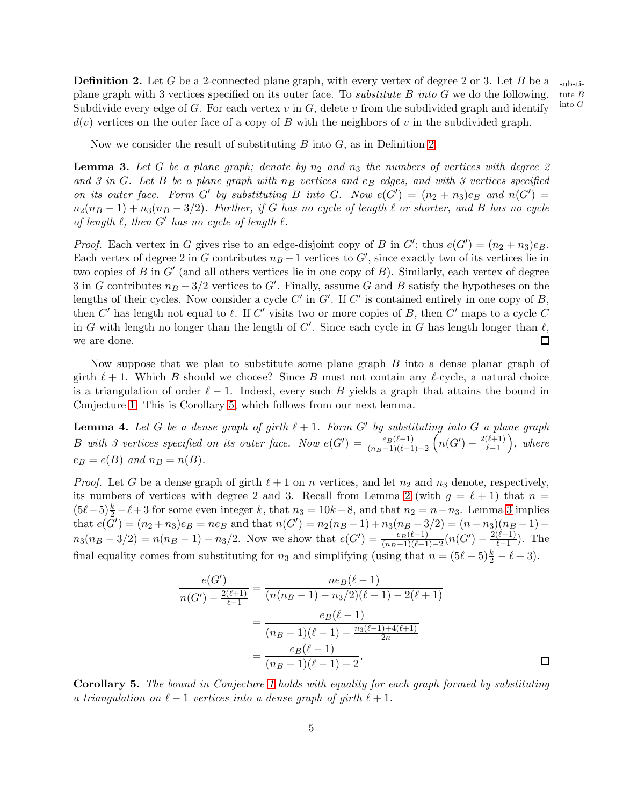<span id="page-4-0"></span>**Definition 2.** Let G be a 2-connected plane graph, with every vertex of degree 2 or 3. Let B be a plane graph with 3 vertices specified on its outer face. To *substitute B into G* we do the following. Subdivide every edge of G. For each vertex  $v$  in  $G$ , delete  $v$  from the subdivided graph and identify  $d(v)$  vertices on the outer face of a copy of B with the neighbors of v in the subdivided graph.

Now we consider the result of substituting  $B$  into  $G$ , as in Definition [2.](#page-4-0)

<span id="page-4-2"></span>**Lemma 3.** Let G be a plane graph; denote by  $n_2$  and  $n_3$  the numbers of vertices with degree 2 and 3 in G. Let B be a plane graph with  $n_B$  vertices and  $e_B$  edges, and with 3 vertices specified on its outer face. Form G' by substituting B into G. Now  $e(G') = (n_2 + n_3)e_B$  and  $n(G') =$  $n_2(n_B - 1) + n_3(n_B - 3/2)$ . Further, if G has no cycle of length  $\ell$  or shorter, and B has no cycle of length  $\ell$ , then  $G'$  has no cycle of length  $\ell$ .

*Proof.* Each vertex in G gives rise to an edge-disjoint copy of B in G'; thus  $e(G') = (n_2 + n_3)e_B$ . Each vertex of degree 2 in G contributes  $n_B - 1$  vertices to G', since exactly two of its vertices lie in two copies of  $B$  in  $G'$  (and all others vertices lie in one copy of  $B$ ). Similarly, each vertex of degree 3 in G contributes  $n_B - 3/2$  vertices to G'. Finally, assume G and B satisfy the hypotheses on the lengths of their cycles. Now consider a cycle  $C'$  in  $G'$ . If  $C'$  is contained entirely in one copy of  $B$ , then  $C'$  has length not equal to  $\ell$ . If  $C'$  visits two or more copies of B, then  $C'$  maps to a cycle  $C$ in G with length no longer than the length of  $C'$ . Since each cycle in G has length longer than  $\ell$ , we are done.  $\Box$ 

Now suppose that we plan to substitute some plane graph B into a dense planar graph of girth  $\ell + 1$ . Which B should we choose? Since B must not contain any  $\ell$ -cycle, a natural choice is a triangulation of order  $\ell - 1$ . Indeed, every such B yields a graph that attains the bound in Conjecture [1.](#page-1-2) This is Corollary [5,](#page-4-1) which follows from our next lemma.

<span id="page-4-3"></span>**Lemma 4.** Let G be a dense graph of girth  $l + 1$ . Form G' by substituting into G a plane graph B with 3 vertices specified on its outer face. Now  $e(G') = \frac{e_B(\ell-1)}{(n_B-1)(\ell-1)-2} \left(n(G') - \frac{2(\ell+1)}{\ell-1}\right)$ , where  $e_B = e(B)$  and  $n_B = n(B)$ .

*Proof.* Let G be a dense graph of girth  $\ell + 1$  on n vertices, and let  $n_2$  and  $n_3$  denote, respectively, its numbers of vertices with degree [2](#page-1-3) and 3. Recall from Lemma 2 (with  $g = \ell + 1$ ) that  $n =$  $(5\ell-5)\frac{k}{2}-\ell+3$  for some even integer k, that  $n_3 = 10k-8$ , and that  $n_2 = n-n_3$ . Lemma [3](#page-4-2) implies that  $e(\tilde{G}') = (n_2 + n_3)e_B = n e_B$  and that  $n(G') = n_2(n_B - 1) + n_3(n_B - 3/2) = (n - n_3)(n_B - 1) +$  $n_3(n_B-3/2) = n(n_B-1) - n_3/2$ . Now we show that  $e(G') = \frac{e_B(\ell-1)}{(n_B-1)(\ell-1)-2}(n(G') - \frac{2(\ell+1)}{\ell-1})$ . The final equality comes from substituting for  $n_3$  and simplifying (using that  $n = (5\ell - 5)\frac{k}{2} - \ell + 3$ ).

$$
\frac{e(G')}{n(G') - \frac{2(\ell+1)}{\ell-1}} = \frac{ne_B(\ell-1)}{(n(n_B-1) - n_3/2)(\ell-1) - 2(\ell+1)}
$$

$$
= \frac{e_B(\ell-1)}{(n_B-1)(\ell-1) - \frac{n_3(\ell-1) + 4(\ell+1)}{2n}}
$$

$$
= \frac{e_B(\ell-1)}{(n_B-1)(\ell-1) - 2}.
$$

<span id="page-4-1"></span>Corollary 5. The bound in Conjecture [1](#page-1-2) holds with equality for each graph formed by substituting a triangulation on  $\ell - 1$  vertices into a dense graph of girth  $\ell + 1$ .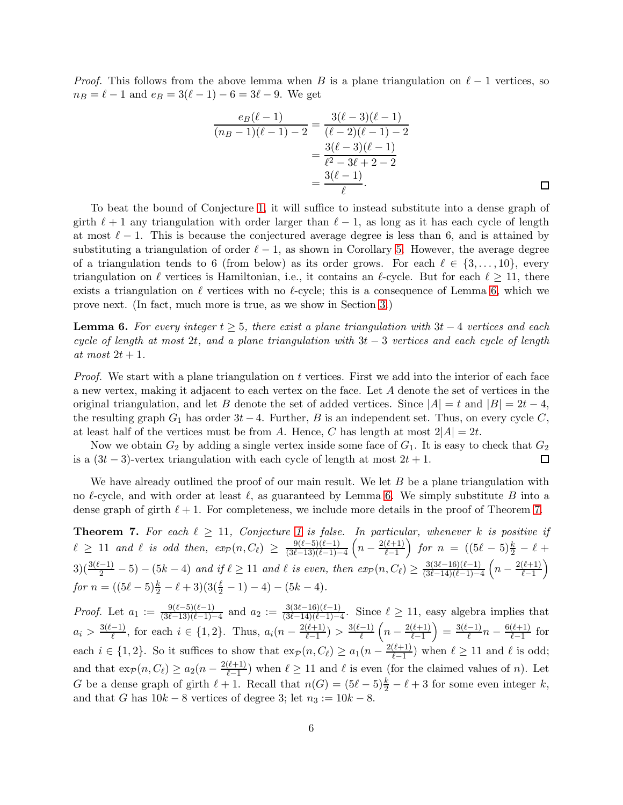*Proof.* This follows from the above lemma when B is a plane triangulation on  $\ell - 1$  vertices, so  $n_B = \ell - 1$  and  $e_B = 3(\ell - 1) - 6 = 3\ell - 9$ . We get

$$
\frac{e_B(\ell-1)}{(n_B-1)(\ell-1)-2} = \frac{3(\ell-3)(\ell-1)}{(\ell-2)(\ell-1)-2}
$$

$$
= \frac{3(\ell-3)(\ell-1)}{\ell^2-3\ell+2-2}
$$

$$
= \frac{3(\ell-1)}{\ell}.
$$

To beat the bound of Conjecture [1,](#page-1-2) it will suffice to instead substitute into a dense graph of girth  $\ell + 1$  any triangulation with order larger than  $\ell - 1$ , as long as it has each cycle of length at most  $\ell - 1$ . This is because the conjectured average degree is less than 6, and is attained by substituting a triangulation of order  $\ell - 1$ , as shown in Corollary [5.](#page-4-1) However, the average degree of a triangulation tends to 6 (from below) as its order grows. For each  $\ell \in \{3, \ldots, 10\}$ , every triangulation on  $\ell$  vertices is Hamiltonian, i.e., it contains an  $\ell$ -cycle. But for each  $\ell \geq 11$ , there exists a triangulation on  $\ell$  vertices with no  $\ell$ -cycle; this is a consequence of Lemma [6,](#page-5-0) which we prove next. (In fact, much more is true, as we show in Section [3.](#page-7-0))

<span id="page-5-0"></span>**Lemma 6.** For every integer  $t \geq 5$ , there exist a plane triangulation with  $3t - 4$  vertices and each cycle of length at most 2t, and a plane triangulation with  $3t - 3$  vertices and each cycle of length at most  $2t + 1$ .

*Proof.* We start with a plane triangulation on t vertices. First we add into the interior of each face a new vertex, making it adjacent to each vertex on the face. Let A denote the set of vertices in the original triangulation, and let B denote the set of added vertices. Since  $|A| = t$  and  $|B| = 2t - 4$ , the resulting graph  $G_1$  has order  $3t - 4$ . Further, B is an independent set. Thus, on every cycle C, at least half of the vertices must be from A. Hence, C has length at most  $2|A| = 2t$ .

Now we obtain  $G_2$  by adding a single vertex inside some face of  $G_1$ . It is easy to check that  $G_2$ is a  $(3t-3)$ -vertex triangulation with each cycle of length at most  $2t + 1$ .  $\Box$ 

We have already outlined the proof of our main result. We let  $B$  be a plane triangulation with no  $\ell$ -cycle, and with order at least  $\ell$ , as guaranteed by Lemma [6.](#page-5-0) We simply substitute B into a dense graph of girth  $\ell + 1$ . For completeness, we include more details in the proof of Theorem [7.](#page-5-1)

<span id="page-5-1"></span>**Theorem 7.** For each  $\ell \geq 11$  $\ell \geq 11$  $\ell \geq 11$ , Conjecture 1 is false. In particular, whenever k is positive if  $\ell \geq 11$  and  $\ell$  is odd then,  $exp(n, C_{\ell}) \geq \frac{9(\ell-5)(\ell-1)}{(3\ell-13)(\ell-1)}$  $\frac{9(\ell-5)(\ell-1)}{(3\ell-13)(\ell-1)-4}\left(n-\frac{2(\ell+1)}{\ell-1}\right)$  for  $n = ((5\ell-5)\frac{k}{2}-\ell+1)$  $3(\frac{3(\ell-1)}{2}-5)-(5k-4)$  and if  $\ell \geq 11$  and  $\ell$  is even, then  $exp(n, C_{\ell}) \geq \frac{3(3\ell-16)(\ell-1)}{(3\ell-14)(\ell-1)-4}$  $\frac{3(3\ell-16)(\ell-1)}{(3\ell-14)(\ell-1)-4}$   $\left(n-\frac{2(\ell+1)}{\ell-1}\right)$ for  $n = ((5\ell - 5)\frac{k}{2} - \ell + 3)(3(\frac{\ell}{2} - 1) - 4) - (5k - 4).$ 

*Proof.* Let  $a_1 := \frac{9(\ell-5)(\ell-1)}{(3\ell-13)(\ell-1)}$  $\frac{9(\ell-5)(\ell-1)}{(3\ell-13)(\ell-1)-4}$  and  $a_2 := \frac{3(3\ell-16)(\ell-1)}{(3\ell-14)(\ell-1)-4}$  $\frac{3(3\ell-10)(\ell-1)}{(3\ell-14)(\ell-1)-4}$ . Since  $\ell \ge 11$ , easy algebra implies that  $a_i > \frac{3(\ell-1)}{\ell}$  $\frac{(n-1)}{\ell}$ , for each  $i \in \{1,2\}$ . Thus,  $a_i(n - \frac{2(\ell+1)}{\ell-1}) > \frac{3(\ell-1)}{\ell}$  $\frac{(-1)}{\ell}$   $\left(n-\frac{2(\ell+1)}{\ell-1}\right)=\frac{3(\ell-1)}{\ell}$  $\frac{(-1)}{\ell}n - \frac{6(\ell+1)}{\ell-1}$  for each  $i \in \{1,2\}$ . So it suffices to show that  $\exp(n, C_\ell) \ge a_1(n - \frac{2(\ell+1)}{\ell-1})$  when  $\ell \ge 11$  and  $\ell$  is odd; and that  $\exp(n, C_{\ell}) \ge a_2(n - \frac{2(\ell+1)}{\ell-1})$  when  $\ell \ge 11$  and  $\ell$  is even (for the claimed values of n). Let G be a dense graph of girth  $\ell + 1$ . Recall that  $n(G) = (5\ell - 5)\frac{k}{2} - \ell + 3$  for some even integer k, and that G has  $10k - 8$  vertices of degree 3; let  $n_3 := 10k - 8$ .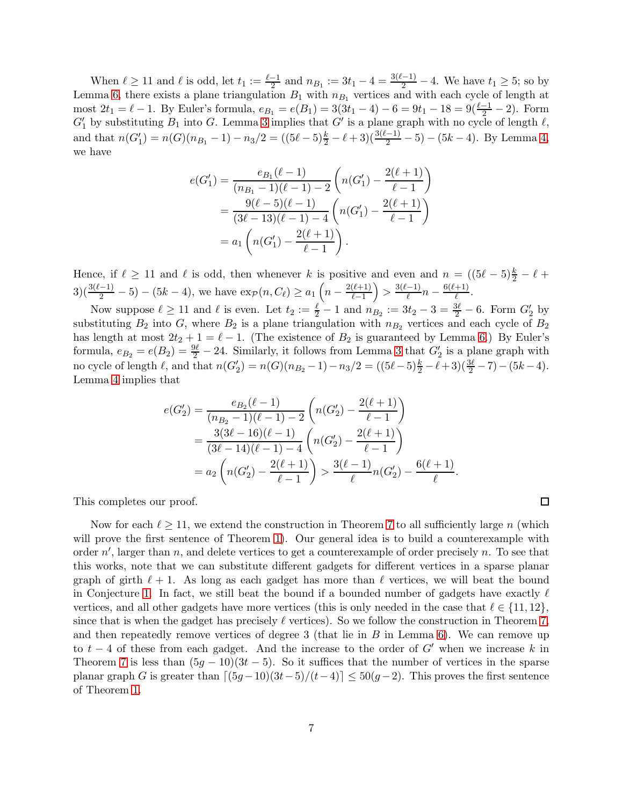When  $\ell \geq 11$  and  $\ell$  is odd, let  $t_1 := \frac{\ell-1}{2}$  and  $n_{B_1} := 3t_1 - 4 = \frac{3(\ell-1)}{2} - 4$ . We have  $t_1 \geq 5$ ; so by Lemma [6,](#page-5-0) there exists a plane triangulation  $B_1$  with  $n_{B_1}$  vertices and with each cycle of length at most  $2t_1 = \ell - 1$ . By Euler's formula,  $e_{B_1} = e(B_1) = 3(3t_1 - 4) - 6 = 9t_1 - 18 = 9(\frac{\ell - 1}{2} - 2)$ . Form  $G'_{1}$  by substituting  $B_{1}$  into G. Lemma [3](#page-4-2) implies that  $G'$  is a plane graph with no cycle of length  $\ell$ , and that  $n(G'_1) = n(G)(n_{B_1} - 1) - n_3/2 = ((5\ell - 5)\frac{k}{2} - \ell + 3)(\frac{3(\ell-1)}{2} - 5) - (5k - 4)$ . By Lemma [4,](#page-4-3) we have

$$
e(G'_1) = \frac{e_{B_1}(\ell - 1)}{(n_{B_1} - 1)(\ell - 1) - 2} \left( n(G'_1) - \frac{2(\ell + 1)}{\ell - 1} \right)
$$
  
= 
$$
\frac{9(\ell - 5)(\ell - 1)}{(3\ell - 13)(\ell - 1) - 4} \left( n(G'_1) - \frac{2(\ell + 1)}{\ell - 1} \right)
$$
  
= 
$$
a_1 \left( n(G'_1) - \frac{2(\ell + 1)}{\ell - 1} \right).
$$

Hence, if  $\ell \geq 11$  and  $\ell$  is odd, then whenever k is positive and even and  $n = ((5\ell - 5)\frac{k}{2} - \ell +$  $3\left(\frac{3(\ell-1)}{2}-5\right) - (5k-4)$ , we have  $\exp(n, C_{\ell}) \ge a_1\left(n - \frac{2(\ell+1)}{\ell-1}\right) > \frac{3(\ell-1)}{\ell}$  $\frac{(-1)}{\ell}n - \frac{6(\ell+1)}{\ell}$  $\frac{1}{\ell}$ .

Now suppose  $\ell \geq 11$  and  $\ell$  is even. Let  $t_2 := \frac{\ell}{2} - 1$  and  $n_{B_2} := 3t_2 - 3 = \frac{3\ell}{2} - 6$ . Form  $G'_2$  by substituting  $B_2$  into G, where  $B_2$  is a plane triangulation with  $n_{B_2}$  vertices and each cycle of  $B_2$ has length at most  $2t_2 + 1 = \ell - 1$ . (The existence of  $B_2$  is guaranteed by Lemma [6.](#page-5-0)) By Euler's formula,  $e_{B_2} = e(B_2) = \frac{9\ell}{2} - 24$ . Similarly, it follows from Lemma [3](#page-4-2) that  $G'_2$  is a plane graph with no cycle of length  $\ell$ , and that  $n(G'_2) = n(G)(n_{B_2} - 1) - n_3/2 = ((5\ell - 5)\frac{k}{2} - \ell + 3)(\frac{3\ell}{2} - 7) - (5k - 4)$ . Lemma [4](#page-4-3) implies that

$$
e(G'_2) = \frac{e_{B_2}(\ell-1)}{(n_{B_2}-1)(\ell-1)-2} \left(n(G'_2) - \frac{2(\ell+1)}{\ell-1}\right)
$$
  
= 
$$
\frac{3(3\ell-16)(\ell-1)}{(3\ell-14)(\ell-1)-4} \left(n(G'_2) - \frac{2(\ell+1)}{\ell-1}\right)
$$
  
= 
$$
a_2 \left(n(G'_2) - \frac{2(\ell+1)}{\ell-1}\right) > \frac{3(\ell-1)}{\ell}n(G'_2) - \frac{6(\ell+1)}{\ell}.
$$

This completes our proof.

Now for each  $\ell \geq 11$ , we extend the construction in Theorem [7](#page-5-1) to all sufficiently large n (which will prove the first sentence of Theorem [1\)](#page-1-0). Our general idea is to build a counterexample with order  $n'$ , larger than n, and delete vertices to get a counterexample of order precisely n. To see that this works, note that we can substitute different gadgets for different vertices in a sparse planar graph of girth  $\ell + 1$ . As long as each gadget has more than  $\ell$  vertices, we will beat the bound in Conjecture [1.](#page-1-2) In fact, we still beat the bound if a bounded number of gadgets have exactly  $\ell$ vertices, and all other gadgets have more vertices (this is only needed in the case that  $\ell \in \{11, 12\}$ , since that is when the gadget has precisely  $\ell$  vertices). So we follow the construction in Theorem [7,](#page-5-1) and then repeatedly remove vertices of degree 3 (that lie in  $B$  in Lemma [6\)](#page-5-0). We can remove up to  $t - 4$  of these from each gadget. And the increase to the order of G' when we increase k in Theorem [7](#page-5-1) is less than  $(5g - 10)(3t - 5)$ . So it suffices that the number of vertices in the sparse planar graph G is greater than  $\left[\frac{(5g-10)(3t-5)}{(t-4)}\right] \leq 50(g-2)$ . This proves the first sentence of Theorem [1.](#page-1-0)

 $\Box$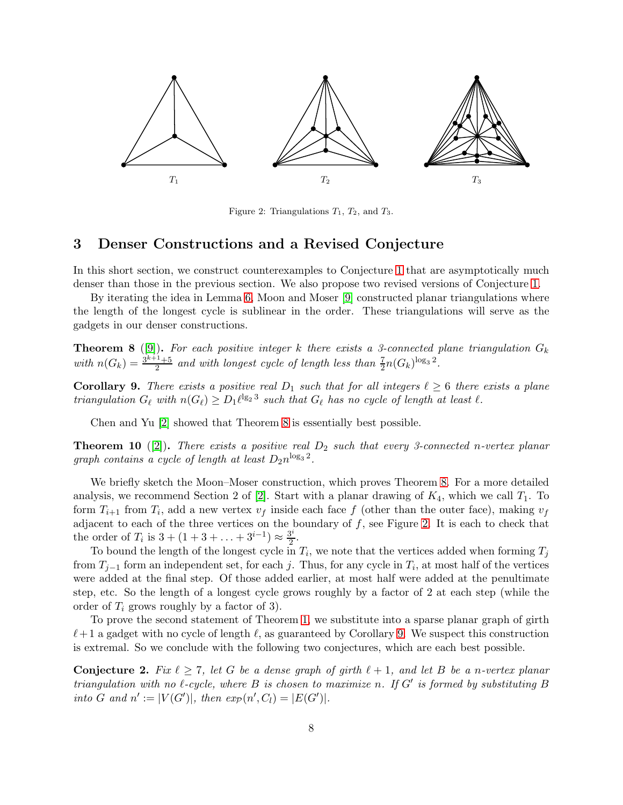<span id="page-7-2"></span>

Figure 2: Triangulations  $T_1$ ,  $T_2$ , and  $T_3$ .

#### <span id="page-7-0"></span>3 Denser Constructions and a Revised Conjecture

In this short section, we construct counterexamples to Conjecture [1](#page-1-2) that are asymptotically much denser than those in the previous section. We also propose two revised versions of Conjecture [1.](#page-1-2)

By iterating the idea in Lemma [6,](#page-5-0) Moon and Moser [\[9\]](#page-8-7) constructed planar triangulations where the length of the longest cycle is sublinear in the order. These triangulations will serve as the gadgets in our denser constructions.

<span id="page-7-1"></span>**Theorem 8** ([\[9\]](#page-8-7)). For each positive integer k there exists a 3-connected plane triangulation  $G_k$ with  $n(G_k) = \frac{3^{k+1}+5}{2}$  $\frac{1+5}{2}$  and with longest cycle of length less than  $\frac{7}{2}n(G_k)^{\log_3 2}$ .

<span id="page-7-3"></span>**Corollary 9.** There exists a positive real  $D_1$  such that for all integers  $\ell \geq 6$  there exists a plane triangulation  $G_{\ell}$  with  $n(G_{\ell}) \ge D_1 {\ell}^{\lg_2 3}$  such that  $G_{\ell}$  has no cycle of length at least  $\ell$ .

Chen and Yu [\[2\]](#page-8-8) showed that Theorem [8](#page-7-1) is essentially best possible.

<span id="page-7-5"></span>**Theorem 10** ([\[2\]](#page-8-8)). There exists a positive real  $D_2$  such that every 3-connected n-vertex planar graph contains a cycle of length at least  $D_2 n^{\log_3 2}$ .

We briefly sketch the Moon–Moser construction, which proves Theorem [8.](#page-7-1) For a more detailed analysis, we recommend Section 2 of [\[2\]](#page-8-8). Start with a planar drawing of  $K_4$ , which we call  $T_1$ . To form  $T_{i+1}$  from  $T_i$ , add a new vertex  $v_f$  inside each face f (other than the outer face), making  $v_f$ adjacent to each of the three vertices on the boundary of  $f$ , see Figure [2.](#page-7-2) It is each to check that the order of  $T_i$  is  $3 + (1 + 3 + \ldots + 3^{i-1}) \approx \frac{3^i}{2}$  $\frac{3^{\circ}}{2}$ .

To bound the length of the longest cycle in  $T_i$ , we note that the vertices added when forming  $T_j$ from  $T_{j-1}$  form an independent set, for each j. Thus, for any cycle in  $T_i$ , at most half of the vertices were added at the final step. Of those added earlier, at most half were added at the penultimate step, etc. So the length of a longest cycle grows roughly by a factor of 2 at each step (while the order of  $T_i$  grows roughly by a factor of 3).

To prove the second statement of Theorem [1,](#page-1-0) we substitute into a sparse planar graph of girth  $\ell+1$  a gadget with no cycle of length  $\ell$ , as guaranteed by Corollary [9.](#page-7-3) We suspect this construction is extremal. So we conclude with the following two conjectures, which are each best possible.

<span id="page-7-4"></span>**Conjecture 2.** Fix  $\ell \geq 7$ , let G be a dense graph of girth  $\ell + 1$ , and let B be a n-vertex planar triangulation with no  $\ell$ -cycle, where  $B$  is chosen to maximize n. If  $G'$  is formed by substituting  $B$ into G and  $n' := |V(G')|$ , then  $exp(n', C_l) = |E(G')|$ .